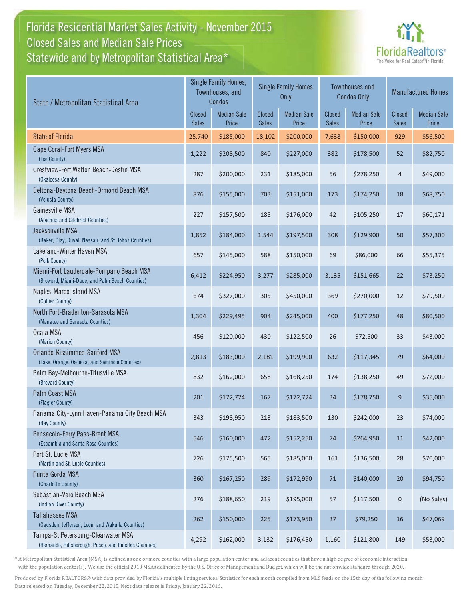## Florida Residential Market Sales Activity - November 2015 Statewide and by Metropolitan Statistical Area $^{\star}$ Closed Sales and Median Sale Prices



| State / Metropolitan Statistical Area                                                        | Single Family Homes,<br>Townhouses, and<br>Condos |                             | <b>Single Family Homes</b><br><b>Only</b> |                             | <b>Townhouses and</b><br><b>Condos Only</b> |                             | <b>Manufactured Homes</b> |                             |
|----------------------------------------------------------------------------------------------|---------------------------------------------------|-----------------------------|-------------------------------------------|-----------------------------|---------------------------------------------|-----------------------------|---------------------------|-----------------------------|
|                                                                                              |                                                   | <b>Median Sale</b><br>Price | Closed<br><b>Sales</b>                    | <b>Median Sale</b><br>Price | <b>Closed</b><br><b>Sales</b>               | <b>Median Sale</b><br>Price | Closed<br><b>Sales</b>    | <b>Median Sale</b><br>Price |
| <b>State of Florida</b>                                                                      | 25,740                                            | \$185,000                   | 18,102                                    | \$200,000                   | 7,638                                       | \$150,000                   | 929                       | \$56,500                    |
| Cape Coral-Fort Myers MSA<br>(Lee County)                                                    | 1,222                                             | \$208,500                   | 840                                       | \$227,000                   | 382                                         | \$178,500                   | 52                        | \$82,750                    |
| Crestview-Fort Walton Beach-Destin MSA<br>(Okaloosa County)                                  | 287                                               | \$200,000                   | 231                                       | \$185,000                   | 56                                          | \$278,250                   | $\overline{4}$            | \$49,000                    |
| Deltona-Daytona Beach-Ormond Beach MSA<br>(Volusia County)                                   | 876                                               | \$155,000                   | 703                                       | \$151,000                   | 173                                         | \$174,250                   | 18                        | \$68,750                    |
| <b>Gainesville MSA</b><br>(Alachua and Gilchrist Counties)                                   | 227                                               | \$157,500                   | 185                                       | \$176,000                   | 42                                          | \$105,250                   | 17                        | \$60,171                    |
| Jacksonville MSA<br>(Baker, Clay, Duval, Nassau, and St. Johns Counties)                     | 1,852                                             | \$184,000                   | 1,544                                     | \$197,500                   | 308                                         | \$129,900                   | 50                        | \$57,300                    |
| Lakeland-Winter Haven MSA<br>(Polk County)                                                   | 657                                               | \$145,000                   | 588                                       | \$150,000                   | 69                                          | \$86,000                    | 66                        | \$55,375                    |
| Miami-Fort Lauderdale-Pompano Beach MSA<br>(Broward, Miami-Dade, and Palm Beach Counties)    | 6,412                                             | \$224,950                   | 3,277                                     | \$285,000                   | 3,135                                       | \$151,665                   | 22                        | \$73,250                    |
| Naples-Marco Island MSA<br>(Collier County)                                                  | 674                                               | \$327,000                   | 305                                       | \$450,000                   | 369                                         | \$270,000                   | 12                        | \$79,500                    |
| North Port-Bradenton-Sarasota MSA<br>(Manatee and Sarasota Counties)                         | 1,304                                             | \$229,495                   | 904                                       | \$245,000                   | 400                                         | \$177,250                   | 48                        | \$80,500                    |
| Ocala MSA<br>(Marion County)                                                                 | 456                                               | \$120,000                   | 430                                       | \$122,500                   | 26                                          | \$72,500                    | 33                        | \$43,000                    |
| Orlando-Kissimmee-Sanford MSA<br>(Lake, Orange, Osceola, and Seminole Counties)              | 2,813                                             | \$183,000                   | 2,181                                     | \$199,900                   | 632                                         | \$117,345                   | 79                        | \$64,000                    |
| Palm Bay-Melbourne-Titusville MSA<br>(Brevard County)                                        | 832                                               | \$162,000                   | 658                                       | \$168,250                   | 174                                         | \$138,250                   | 49                        | \$72,000                    |
| <b>Palm Coast MSA</b><br>(Flagler County)                                                    | 201                                               | \$172,724                   | 167                                       | \$172,724                   | 34                                          | \$178,750                   | 9                         | \$35,000                    |
| Panama City-Lynn Haven-Panama City Beach MSA<br>(Bay County)                                 | 343                                               | \$198,950                   | 213                                       | \$183,500                   | 130                                         | \$242,000                   | 23                        | \$74,000                    |
| Pensacola-Ferry Pass-Brent MSA<br>(Escambia and Santa Rosa Counties)                         | 546                                               | \$160,000                   | 472                                       | \$152,250                   | 74                                          | \$264,950                   | 11                        | \$42,000                    |
| Port St. Lucie MSA<br>(Martin and St. Lucie Counties)                                        | 726                                               | \$175,500                   | 565                                       | \$185,000                   | 161                                         | \$136,500                   | 28                        | \$70,000                    |
| Punta Gorda MSA<br>(Charlotte County)                                                        | 360                                               | \$167,250                   | 289                                       | \$172,990                   | $71\,$                                      | \$140,000                   | $20\,$                    | \$94,750                    |
| Sebastian-Vero Beach MSA<br>(Indian River County)                                            | 276                                               | \$188,650                   | 219                                       | \$195,000                   | 57                                          | \$117,500                   | $\mathbf 0$               | (No Sales)                  |
| <b>Tallahassee MSA</b><br>(Gadsden, Jefferson, Leon, and Wakulla Counties)                   | 262                                               | \$150,000                   | 225                                       | \$173,950                   | 37                                          | \$79,250                    | 16                        | \$47,069                    |
| Tampa-St.Petersburg-Clearwater MSA<br>(Hernando, Hillsborough, Pasco, and Pinellas Counties) | 4,292                                             | \$162,000                   | 3,132                                     | \$176,450                   | 1,160                                       | \$121,800                   | 149                       | \$53,000                    |

\* A Metropolitan Statistical Area (MSA) is defined as one or more counties with a large population center and adjacent counties that have a high degree of economic interaction with the population center(s). We use the official 2010 MSAs delineated by the U.S. Office of Management and Budget, which will be the nationwide standard through 2020.

Produced by Florida REALTORS® with data provided by Florida's multiple listing services. Statistics for each month compiled from MLS feeds on the 15th day of the following month. Data released on Tuesday, December 22, 2015. Next data release is Friday, January 22, 2016.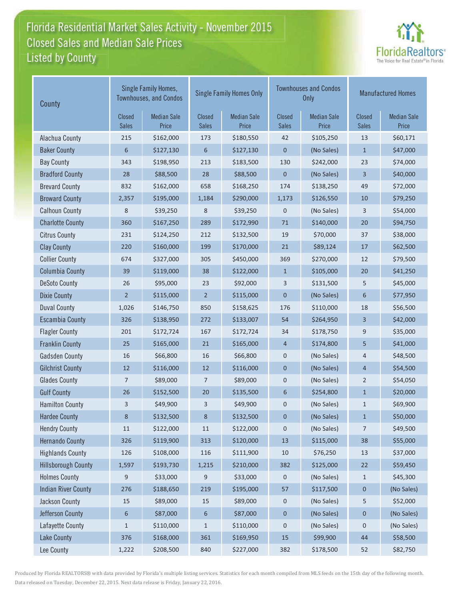## Florida Residential Market Sales Activity - November 2015 Listed by County-Closed Sales and Median Sale Prices



| County                     | Single Family Homes,<br><b>Townhouses, and Condos</b> |                             |                        | <b>Single Family Homes Only</b> |                        | <b>Townhouses and Condos</b><br><b>Only</b> | <b>Manufactured Homes</b> |                             |  |
|----------------------------|-------------------------------------------------------|-----------------------------|------------------------|---------------------------------|------------------------|---------------------------------------------|---------------------------|-----------------------------|--|
|                            | Closed<br><b>Sales</b>                                | <b>Median Sale</b><br>Price | Closed<br><b>Sales</b> | <b>Median Sale</b><br>Price     | Closed<br><b>Sales</b> | <b>Median Sale</b><br>Price                 | Closed<br><b>Sales</b>    | <b>Median Sale</b><br>Price |  |
| Alachua County             | 215                                                   | \$162,000                   | 173                    | \$180,550                       | 42                     | \$105,250                                   | 13                        | \$60,171                    |  |
| <b>Baker County</b>        | 6                                                     | \$127,130                   | 6                      | \$127,130                       | $\mathbf 0$            | (No Sales)                                  | $\mathbf{1}$              | \$47,000                    |  |
| <b>Bay County</b>          | 343                                                   | \$198,950                   | 213                    | \$183,500                       | 130                    | \$242,000                                   | 23                        | \$74,000                    |  |
| <b>Bradford County</b>     | 28                                                    | \$88,500                    | 28                     | \$88,500                        | $\boldsymbol{0}$       | (No Sales)                                  | 3                         | \$40,000                    |  |
| <b>Brevard County</b>      | 832                                                   | \$162,000                   | 658                    | \$168,250                       | 174                    | \$138,250                                   | 49                        | \$72,000                    |  |
| <b>Broward County</b>      | 2,357                                                 | \$195,000                   | 1,184                  | \$290,000                       | 1,173                  | \$126,550                                   | 10                        | \$79,250                    |  |
| <b>Calhoun County</b>      | 8                                                     | \$39,250                    | 8                      | \$39,250                        | 0                      | (No Sales)                                  | 3                         | \$54,000                    |  |
| <b>Charlotte County</b>    | 360                                                   | \$167,250                   | 289                    | \$172,990                       | $71\,$                 | \$140,000                                   | 20                        | \$94,750                    |  |
| <b>Citrus County</b>       | 231                                                   | \$124,250                   | 212                    | \$132,500                       | 19                     | \$70,000                                    | 37                        | \$38,000                    |  |
| <b>Clay County</b>         | 220                                                   | \$160,000                   | 199                    | \$170,000                       | 21                     | \$89,124                                    | 17                        | \$62,500                    |  |
| <b>Collier County</b>      | 674                                                   | \$327,000                   | 305                    | \$450,000                       | 369                    | \$270,000                                   | 12                        | \$79,500                    |  |
| <b>Columbia County</b>     | 39                                                    | \$119,000                   | 38                     | \$122,000                       | $\mathbf{1}$           | \$105,000                                   | 20                        | \$41,250                    |  |
| <b>DeSoto County</b>       | 26                                                    | \$95,000                    | 23                     | \$92,000                        | 3                      | \$131,500                                   | 5                         | \$45,000                    |  |
| <b>Dixie County</b>        | $\overline{2}$                                        | \$115,000                   | $\overline{2}$         | \$115,000                       | $\mathbf 0$            | (No Sales)                                  | 6                         | \$77,950                    |  |
| <b>Duval County</b>        | 1,026                                                 | \$146,750                   | 850                    | \$158,625                       | 176                    | \$110,000                                   | 18                        | \$56,500                    |  |
| <b>Escambia County</b>     | 326                                                   | \$138,950                   | 272                    | \$133,007                       | 54                     | \$264,950                                   | 3                         | \$42,000                    |  |
| <b>Flagler County</b>      | 201                                                   | \$172,724                   | 167                    | \$172,724                       | 34                     | \$178,750                                   | 9                         | \$35,000                    |  |
| <b>Franklin County</b>     | 25                                                    | \$165,000                   | 21                     | \$165,000                       | $\overline{4}$         | \$174,800                                   | 5                         | \$41,000                    |  |
| <b>Gadsden County</b>      | 16                                                    | \$66,800                    | 16                     | \$66,800                        | 0                      | (No Sales)                                  | 4                         | \$48,500                    |  |
| <b>Gilchrist County</b>    | 12                                                    | \$116,000                   | 12                     | \$116,000                       | $\pmb{0}$              | (No Sales)                                  | 4                         | \$54,500                    |  |
| <b>Glades County</b>       | 7                                                     | \$89,000                    | 7                      | \$89,000                        | 0                      | (No Sales)                                  | 2                         | \$54,050                    |  |
| <b>Gulf County</b>         | 26                                                    | \$152,500                   | 20                     | \$135,500                       | 6                      | \$254,800                                   | $\mathbf{1}$              | \$20,000                    |  |
| <b>Hamilton County</b>     | 3                                                     | \$49,900                    | 3                      | \$49,900                        | 0                      | (No Sales)                                  | $\mathbf{1}$              | \$69,900                    |  |
| <b>Hardee County</b>       | 8                                                     | \$132,500                   | 8                      | \$132,500                       | 0                      | (No Sales)                                  | $\mathbf{1}$              | \$50,000                    |  |
| <b>Hendry County</b>       | 11                                                    | \$122,000                   | 11                     | \$122,000                       | 0                      | (No Sales)                                  | $\overline{7}$            | \$49,500                    |  |
| <b>Hernando County</b>     | 326                                                   | \$119,900                   | 313                    | \$120,000                       | 13                     | \$115,000                                   | 38                        | \$55,000                    |  |
| <b>Highlands County</b>    | 126                                                   | \$108,000                   | 116                    | \$111,900                       | 10                     | \$76,250                                    | 13                        | \$37,000                    |  |
| <b>Hillsborough County</b> | 1,597                                                 | \$193,730                   | 1,215                  | \$210,000                       | 382                    | \$125,000                                   | 22                        | \$59,450                    |  |
| <b>Holmes County</b>       | 9                                                     | \$33,000                    | 9                      | \$33,000                        | 0                      | (No Sales)                                  | $\mathbf{1}$              | \$45,300                    |  |
| <b>Indian River County</b> | 276                                                   | \$188,650                   | 219                    | \$195,000                       | 57                     | \$117,500                                   | 0                         | (No Sales)                  |  |
| Jackson County             | 15                                                    | \$89,000                    | 15                     | \$89,000                        | 0                      | (No Sales)                                  | 5                         | \$52,000                    |  |
| Jefferson County           | 6                                                     | \$87,000                    | 6                      | \$87,000                        | $\boldsymbol{0}$       | (No Sales)                                  | 0                         | (No Sales)                  |  |
| Lafayette County           | $\mathbf{1}$                                          | \$110,000                   | $\mathbf{1}$           | \$110,000                       | 0                      | (No Sales)                                  | 0                         | (No Sales)                  |  |
| <b>Lake County</b>         | 376                                                   | \$168,000                   | 361                    | \$169,950                       | 15                     | \$99,900                                    | 44                        | \$58,500                    |  |
| Lee County                 | 1,222                                                 | \$208,500                   | 840                    | \$227,000                       | 382                    | \$178,500                                   | 52                        | \$82,750                    |  |

Produced by Florida REALTORS® with data provided by Florida's multiple listing services. Statistics for each month compiled from MLS feeds on the 15th day of the following month. Data released on Tuesday, December 22, 2015. Next data release is Friday, January 22, 2016.